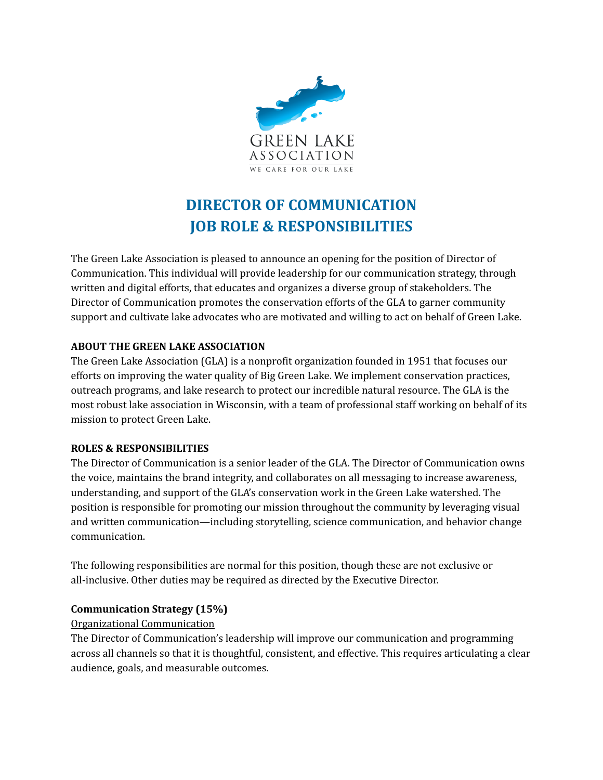

# **DIRECTOR OF COMMUNICATION JOB ROLE & RESPONSIBILITIES**

The Green Lake Association is pleased to announce an opening for the position of Director of Communication. This individual will provide leadership for our communication strategy, through written and digital efforts, that educates and organizes a diverse group of stakeholders. The Director of Communication promotes the conservation efforts of the GLA to garner community support and cultivate lake advocates who are motivated and willing to act on behalf of Green Lake.

## **ABOUT THE GREEN LAKE ASSOCIATION**

The Green Lake Association (GLA) is a nonprofit organization founded in 1951 that focuses our efforts on improving the water quality of Big Green Lake. We implement conservation practices, outreach programs, and lake research to protect our incredible natural resource. The GLA is the most robust lake association in Wisconsin, with a team of professional staff working on behalf of its mission to protect Green Lake.

#### **ROLES & RESPONSIBILITIES**

The Director of Communication is a senior leader of the GLA. The Director of Communication owns the voice, maintains the brand integrity, and collaborates on all messaging to increase awareness, understanding, and support of the GLA's conservation work in the Green Lake watershed. The position is responsible for promoting our mission throughout the community by leveraging visual and written communication—including storytelling, science communication, and behavior change communication.

The following responsibilities are normal for this position, though these are not exclusive or all-inclusive. Other duties may be required as directed by the Executive Director.

# **Communication Strategy (15%)**

#### Organizational Communication

The Director of Communication's leadership will improve our communication and programming across all channels so that it is thoughtful, consistent, and effective. This requires articulating a clear audience, goals, and measurable outcomes.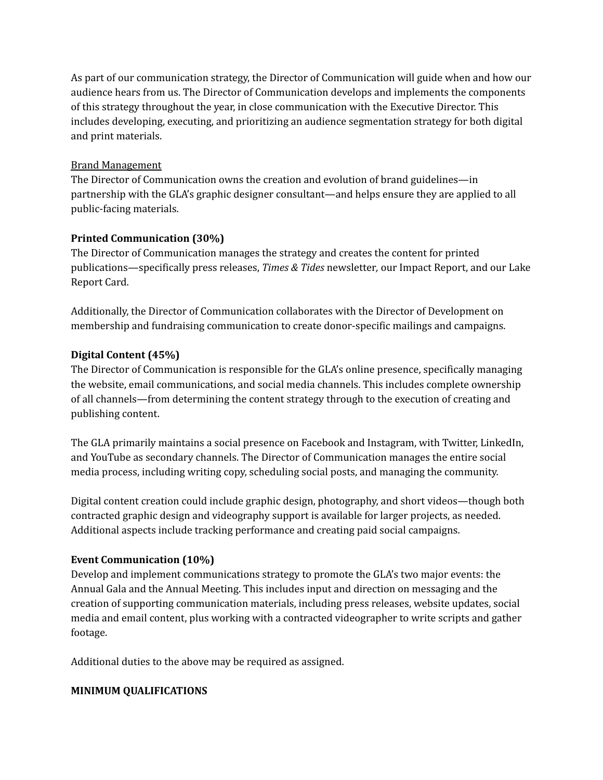As part of our communication strategy, the Director of Communication will guide when and how our audience hears from us. The Director of Communication develops and implements the components of this strategy throughout the year, in close communication with the Executive Director. This includes developing, executing, and prioritizing an audience segmentation strategy for both digital and print materials.

#### Brand Management

The Director of Communication owns the creation and evolution of brand guidelines—in partnership with the GLA's graphic designer consultant—and helps ensure they are applied to all public-facing materials.

## **Printed Communication (30%)**

The Director of Communication manages the strategy and creates the content for printed publications—specifically press releases, *Times & Tides* newsletter*,* our Impact Report, and our Lake Report Card.

Additionally, the Director of Communication collaborates with the Director of Development on membership and fundraising communication to create donor-specific mailings and campaigns.

## **Digital Content (45%)**

The Director of Communication is responsible for the GLA's online presence, specifically managing the website, email communications, and social media channels. This includes complete ownership of all channels—from determining the content strategy through to the execution of creating and publishing content.

The GLA primarily maintains a social presence on Facebook and Instagram, with Twitter, LinkedIn, and YouTube as secondary channels. The Director of Communication manages the entire social media process, including writing copy, scheduling social posts, and managing the community.

Digital content creation could include graphic design, photography, and short videos—though both contracted graphic design and videography support is available for larger projects, as needed. Additional aspects include tracking performance and creating paid social campaigns.

#### **Event Communication (10%)**

Develop and implement communications strategy to promote the GLA's two major events: the Annual Gala and the Annual Meeting. This includes input and direction on messaging and the creation of supporting communication materials, including press releases, website updates, social media and email content, plus working with a contracted videographer to write scripts and gather footage.

Additional duties to the above may be required as assigned.

# **MINIMUM QUALIFICATIONS**